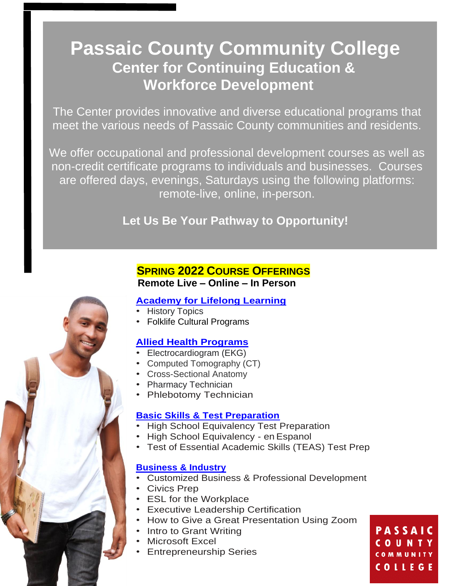# **Passaic County Community College Center for Continuing Education & Workforce Development**

The Center provides innovative and diverse educational programs that meet the various needs of Passaic County communities and residents.

We offer occupational and professional development courses as well as non-credit certificate programs to individuals and businesses. Courses are offered days, evenings, Saturdays using the following platforms: remote-live, online, in-person.

**Let Us Be Your Pathway to Opportunity!**

# **SPRING 2022 COURSE OFFERINGS Remote Live – Online – In Person**

# **[Academy for Lifelong Learning](https://catalog.pccc.edu/ce/programs/all/)**

- History Topics
- Folklife Cultural Programs

# **[Allied Health Programs](https://catalog.pccc.edu/ce/programs/AlliedHealth/)**

- Electrocardiogram (EKG)
	- Computed Tomography (CT)
- Cross-Sectional Anatomy
- Pharmacy Technician
- Phlebotomy Technician

# **[Basic Skills & Test Preparation](https://catalog.pccc.edu/ce/programs/basicskills/)**

- High School Equivalency Test Preparation
- High School Equivalency en Espanol
- Test of Essential Academic Skills (TEAS) Test Prep

## **[Business & Industry](https://catalog.pccc.edu/ce/programs/business/)**

- Customized Business & Professional Development
- Civics Prep
- ESL for the Workplace
- Executive Leadership Certification
- How to Give a Great Presentation Using Zoom
- Intro to Grant Writing
- Microsoft Excel
- Entrepreneurship Series

**PASSAIC** COUNTY COMMUNITY **COLLEGE**